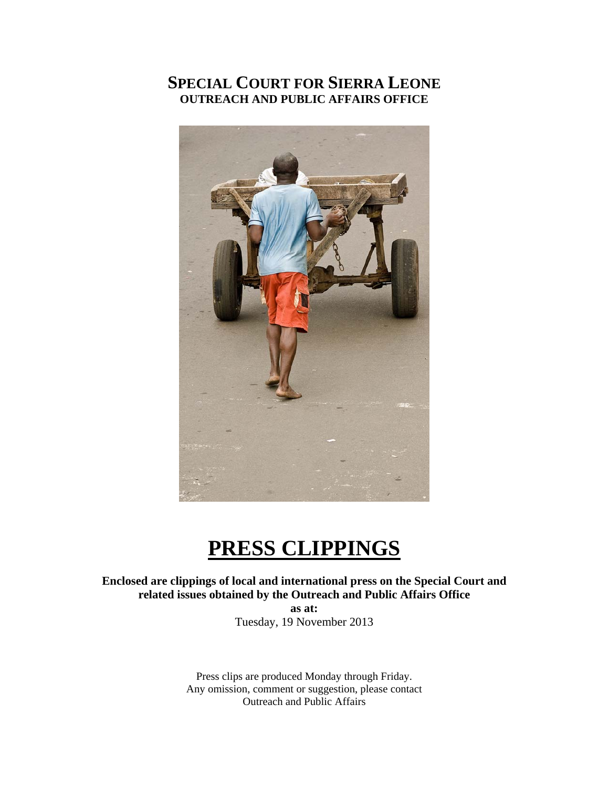## **SPECIAL COURT FOR SIERRA LEONE OUTREACH AND PUBLIC AFFAIRS OFFICE**



# **PRESS CLIPPINGS**

**Enclosed are clippings of local and international press on the Special Court and related issues obtained by the Outreach and Public Affairs Office** 

**as at:**  Tuesday, 19 November 2013

Press clips are produced Monday through Friday. Any omission, comment or suggestion, please contact Outreach and Public Affairs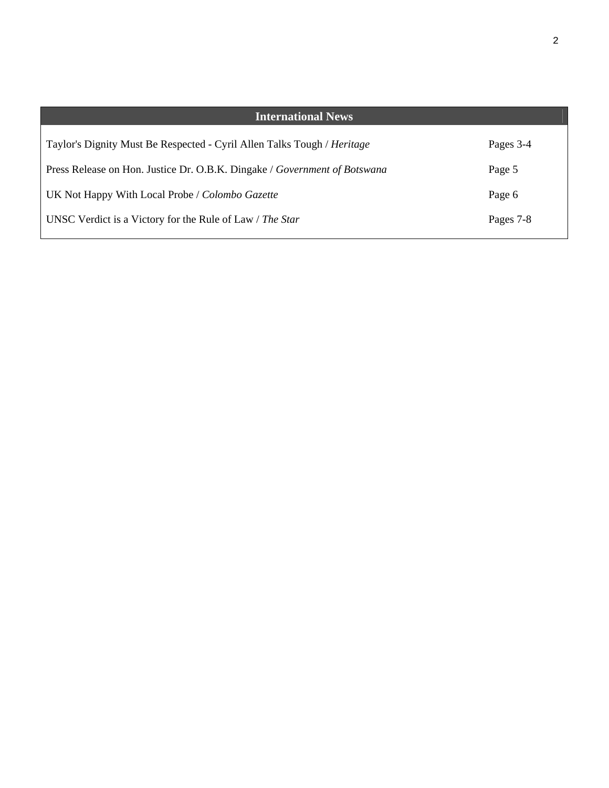| <b>International News</b>                                                 |           |
|---------------------------------------------------------------------------|-----------|
| Taylor's Dignity Must Be Respected - Cyril Allen Talks Tough / Heritage   | Pages 3-4 |
| Press Release on Hon. Justice Dr. O.B.K. Dingake / Government of Botswana | Page 5    |
| UK Not Happy With Local Probe / Colombo Gazette                           | Page 6    |
| UNSC Verdict is a Victory for the Rule of Law / The Star                  | Pages 7-8 |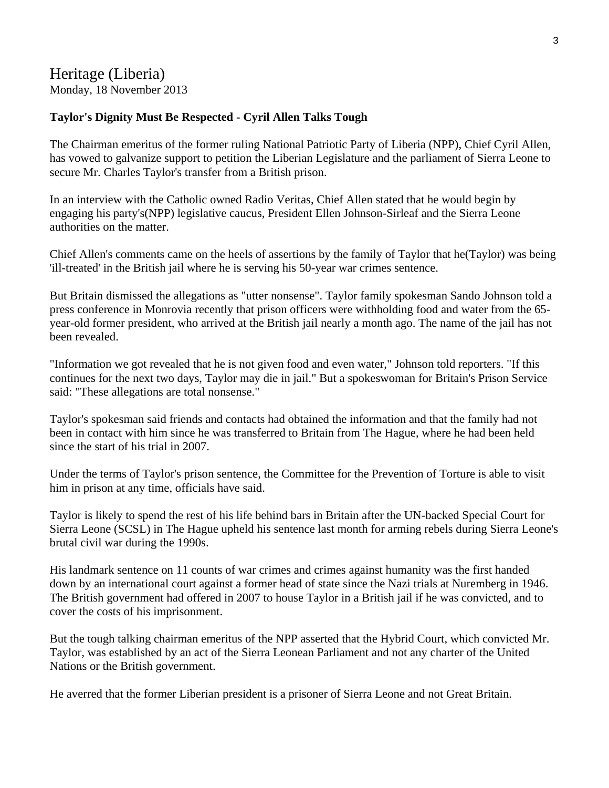### Heritage (Liberia) Monday, 18 November 2013

#### **Taylor's Dignity Must Be Respected - Cyril Allen Talks Tough**

The Chairman emeritus of the former ruling National Patriotic Party of Liberia (NPP), Chief Cyril Allen, has vowed to galvanize support to petition the Liberian Legislature and the parliament of Sierra Leone to secure Mr. Charles Taylor's transfer from a British prison.

In an interview with the Catholic owned Radio Veritas, Chief Allen stated that he would begin by engaging his party's(NPP) legislative caucus, President Ellen Johnson-Sirleaf and the Sierra Leone authorities on the matter.

Chief Allen's comments came on the heels of assertions by the family of Taylor that he(Taylor) was being 'ill-treated' in the British jail where he is serving his 50-year war crimes sentence.

But Britain dismissed the allegations as "utter nonsense". Taylor family spokesman Sando Johnson told a press conference in Monrovia recently that prison officers were withholding food and water from the 65 year-old former president, who arrived at the British jail nearly a month ago. The name of the jail has not been revealed.

"Information we got revealed that he is not given food and even water," Johnson told reporters. "If this continues for the next two days, Taylor may die in jail." But a spokeswoman for Britain's Prison Service said: "These allegations are total nonsense."

Taylor's spokesman said friends and contacts had obtained the information and that the family had not been in contact with him since he was transferred to Britain from The Hague, where he had been held since the start of his trial in 2007.

Under the terms of Taylor's prison sentence, the Committee for the Prevention of Torture is able to visit him in prison at any time, officials have said.

Taylor is likely to spend the rest of his life behind bars in Britain after the UN-backed Special Court for Sierra Leone (SCSL) in The Hague upheld his sentence last month for arming rebels during Sierra Leone's brutal civil war during the 1990s.

His landmark sentence on 11 counts of war crimes and crimes against humanity was the first handed down by an international court against a former head of state since the Nazi trials at Nuremberg in 1946. The British government had offered in 2007 to house Taylor in a British jail if he was convicted, and to cover the costs of his imprisonment.

But the tough talking chairman emeritus of the NPP asserted that the Hybrid Court, which convicted Mr. Taylor, was established by an act of the Sierra Leonean Parliament and not any charter of the United Nations or the British government.

He averred that the former Liberian president is a prisoner of Sierra Leone and not Great Britain.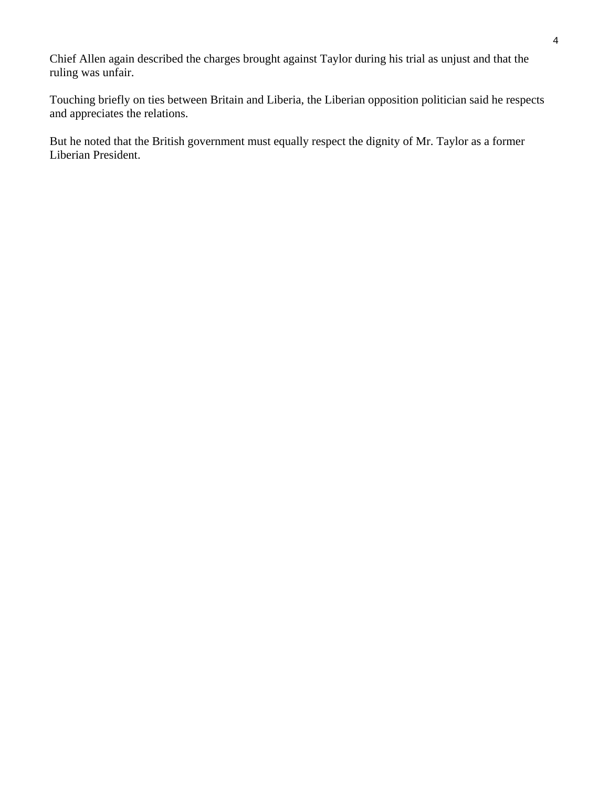Chief Allen again described the charges brought against Taylor during his trial as unjust and that the ruling was unfair.

Touching briefly on ties between Britain and Liberia, the Liberian opposition politician said he respects and appreciates the relations.

But he noted that the British government must equally respect the dignity of Mr. Taylor as a former Liberian President.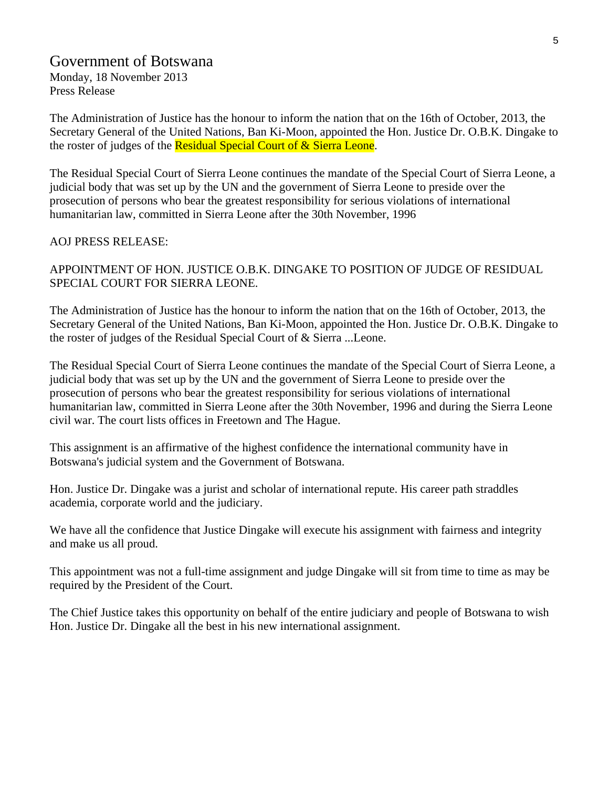## Government of Botswana

Monday, 18 November 2013 Press Release

The Administration of Justice has the honour to inform the nation that on the 16th of October, 2013, the Secretary General of the United Nations, Ban Ki-Moon, appointed the Hon. Justice Dr. O.B.K. Dingake to the roster of judges of the Residual Special Court of & Sierra Leone.

The Residual Special Court of Sierra Leone continues the mandate of the Special Court of Sierra Leone, a judicial body that was set up by the UN and the government of Sierra Leone to preside over the prosecution of persons who bear the greatest responsibility for serious violations of international humanitarian law, committed in Sierra Leone after the 30th November, 1996

#### AOJ PRESS RELEASE:

APPOINTMENT OF HON. JUSTICE O.B.K. DINGAKE TO POSITION OF JUDGE OF RESIDUAL SPECIAL COURT FOR SIERRA LEONE.

The Administration of Justice has the honour to inform the nation that on the 16th of October, 2013, the Secretary General of the United Nations, Ban Ki-Moon, appointed the Hon. Justice Dr. O.B.K. Dingake to the roster of judges of the Residual Special Court of & Sierra ...Leone.

The Residual Special Court of Sierra Leone continues the mandate of the Special Court of Sierra Leone, a judicial body that was set up by the UN and the government of Sierra Leone to preside over the prosecution of persons who bear the greatest responsibility for serious violations of international humanitarian law, committed in Sierra Leone after the 30th November, 1996 and during the Sierra Leone civil war. The court lists offices in Freetown and The Hague.

This assignment is an affirmative of the highest confidence the international community have in Botswana's judicial system and the Government of Botswana.

Hon. Justice Dr. Dingake was a jurist and scholar of international repute. His career path straddles academia, corporate world and the judiciary.

We have all the confidence that Justice Dingake will execute his assignment with fairness and integrity and make us all proud.

This appointment was not a full-time assignment and judge Dingake will sit from time to time as may be required by the President of the Court.

The Chief Justice takes this opportunity on behalf of the entire judiciary and people of Botswana to wish Hon. Justice Dr. Dingake all the best in his new international assignment.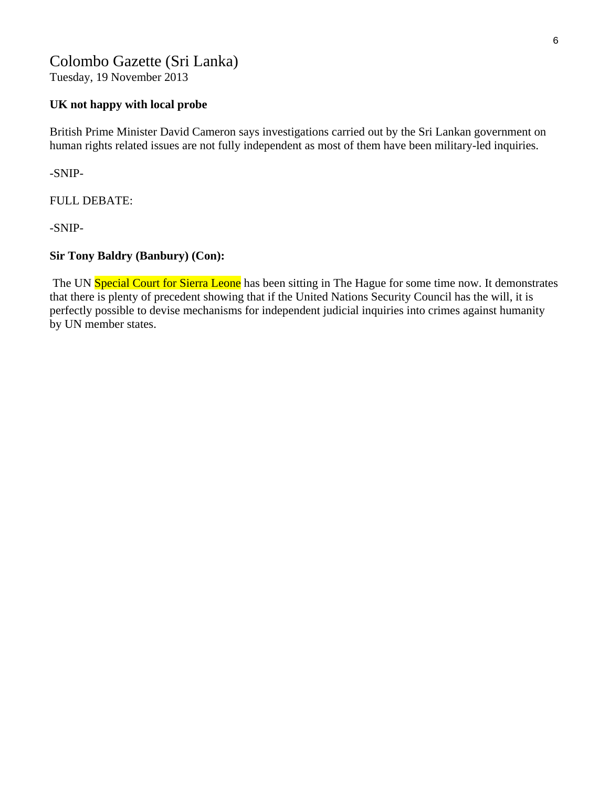## Colombo Gazette (Sri Lanka)

Tuesday, 19 November 2013

#### **UK not happy with local probe**

British Prime Minister David Cameron says investigations carried out by the Sri Lankan government on human rights related issues are not fully independent as most of them have been military-led inquiries.

-SNIP-

FULL DEBATE:

-SNIP-

#### **Sir Tony Baldry (Banbury) (Con):**

The UN Special Court for Sierra Leone has been sitting in The Hague for some time now. It demonstrates that there is plenty of precedent showing that if the United Nations Security Council has the will, it is perfectly possible to devise mechanisms for independent judicial inquiries into crimes against humanity by UN member states.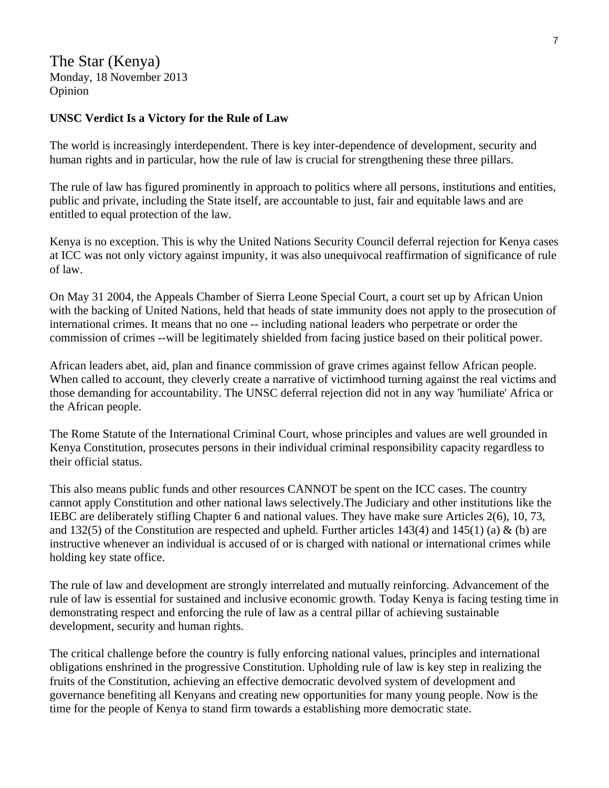The Star (Kenya) Monday, 18 November 2013 Opinion

#### **UNSC Verdict Is a Victory for the Rule of Law**

The world is increasingly interdependent. There is key inter-dependence of development, security and human rights and in particular, how the rule of law is crucial for strengthening these three pillars.

The rule of law has figured prominently in approach to politics where all persons, institutions and entities, public and private, including the State itself, are accountable to just, fair and equitable laws and are entitled to equal protection of the law.

Kenya is no exception. This is why the United Nations Security Council deferral rejection for Kenya cases at ICC was not only victory against impunity, it was also unequivocal reaffirmation of significance of rule of law.

On May 31 2004, the Appeals Chamber of Sierra Leone Special Court, a court set up by African Union with the backing of United Nations, held that heads of state immunity does not apply to the prosecution of international crimes. It means that no one -- including national leaders who perpetrate or order the commission of crimes --will be legitimately shielded from facing justice based on their political power.

African leaders abet, aid, plan and finance commission of grave crimes against fellow African people. When called to account, they cleverly create a narrative of victimhood turning against the real victims and those demanding for accountability. The UNSC deferral rejection did not in any way 'humiliate' Africa or the African people.

The Rome Statute of the International Criminal Court, whose principles and values are well grounded in Kenya Constitution, prosecutes persons in their individual criminal responsibility capacity regardless to their official status.

This also means public funds and other resources CANNOT be spent on the ICC cases. The country cannot apply Constitution and other national laws selectively.The Judiciary and other institutions like the IEBC are deliberately stifling Chapter 6 and national values. They have make sure Articles 2(6), 10, 73, and 132(5) of the Constitution are respected and upheld. Further articles 143(4) and 145(1) (a) & (b) are instructive whenever an individual is accused of or is charged with national or international crimes while holding key state office.

The rule of law and development are strongly interrelated and mutually reinforcing. Advancement of the rule of law is essential for sustained and inclusive economic growth. Today Kenya is facing testing time in demonstrating respect and enforcing the rule of law as a central pillar of achieving sustainable development, security and human rights.

The critical challenge before the country is fully enforcing national values, principles and international obligations enshrined in the progressive Constitution. Upholding rule of law is key step in realizing the fruits of the Constitution, achieving an effective democratic devolved system of development and governance benefiting all Kenyans and creating new opportunities for many young people. Now is the time for the people of Kenya to stand firm towards a establishing more democratic state.